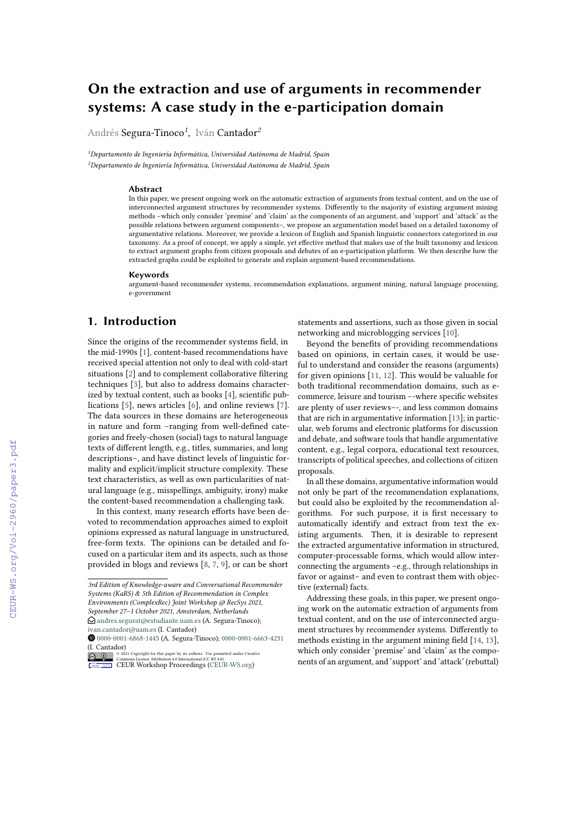# **On the extraction and use of arguments in recommender systems: A case study in the e-participation domain**

Andrés Segura-Tinoco*<sup>1</sup>* , Iván Cantador*<sup>2</sup>*

*<sup>1</sup>Departamento de Ingeniería Informática, Universidad Autónoma de Madrid, Spain <sup>2</sup>Departamento de Ingeniería Informática, Universidad Autónoma de Madrid, Spain*

#### **Abstract**

In this paper, we present ongoing work on the automatic extraction of arguments from textual content, and on the use of interconnected argument structures by recommender systems. Differently to the majority of existing argument mining methods –which only consider 'premise' and 'claim' as the components of an argument, and 'support' and 'attack' as the possible relations between argument components–, we propose an argumentation model based on a detailed taxonomy of argumentative relations. Moreover, we provide a lexicon of English and Spanish linguistic connectors categorized in our taxonomy. As a proof of concept, we apply a simple, yet effective method that makes use of the built taxonomy and lexicon to extract argument graphs from citizen proposals and debates of an e-participation platform. We then describe how the extracted graphs could be exploited to generate and explain argument-based recommendations.

#### **Keywords**

argument-based recommender systems, recommendation explanations, argument mining, natural language processing, e-government

# **1. Introduction**

Since the origins of the recommender systems field, in the mid-1990s [\[1\]](#page--1-0), content-based recommendations have received special attention not only to deal with cold-start situations [\[2\]](#page--1-1) and to complement collaborative filtering techniques [\[3\]](#page--1-2), but also to address domains characterized by textual content, such as books [\[4\]](#page--1-3), scientific publications [\[5\]](#page--1-4), news articles [\[6\]](#page--1-5), and online reviews [\[7\]](#page--1-6). The data sources in these domains are heterogeneous in nature and form –ranging from well-defined categories and freely-chosen (social) tags to natural language texts of different length, e.g., titles, summaries, and long descriptions–, and have distinct levels of linguistic formality and explicit/implicit structure complexity. These text characteristics, as well as own particularities of natural language (e.g., misspellings, ambiguity, irony) make the content-based recommendation a challenging task.

In this context, many research efforts have been devoted to recommendation approaches aimed to exploit opinions expressed as natural language in unstructured, free-form texts. The opinions can be detailed and focused on a particular item and its aspects, such as those provided in blogs and reviews [\[8,](#page--1-7) [7,](#page--1-6) [9\]](#page--1-8), or can be short statements and assertions, such as those given in social networking and microblogging services [\[10\]](#page--1-9).

Beyond the benefits of providing recommendations based on opinions, in certain cases, it would be useful to understand and consider the reasons (arguments) for given opinions [\[11,](#page--1-10) [12\]](#page--1-11). This would be valuable for both traditional recommendation domains, such as ecommerce, leisure and tourism –-where specific websites are plenty of user reviews–-, and less common domains that are rich in argumentative information [\[13\]](#page--1-12); in particular, web forums and electronic platforms for discussion and debate, and software tools that handle argumentative content, e.g., legal corpora, educational text resources, transcripts of political speeches, and collections of citizen proposals.

In all these domains, argumentative information would not only be part of the recommendation explanations, but could also be exploited by the recommendation algorithms. For such purpose, it is first necessary to automatically identify and extract from text the existing arguments. Then, it is desirable to represent the extracted argumentative information in structured, computer-processable forms, which would allow interconnecting the arguments –e.g., through relationships in favor or against– and even to contrast them with objective (external) facts.

Addressing these goals, in this paper, we present ongoing work on the automatic extraction of arguments from textual content, and on the use of interconnected argument structures by recommender systems. Differently to methods existing in the argument mining field [\[14,](#page--1-13) [13\]](#page--1-12), which only consider 'premise' and 'claim' as the components of an argument, and 'support' and 'attack' (rebuttal)

*<sup>3</sup>rd Edition of Knowledge-aware and Conversational Recommender Systems (KaRS) & 5th Edition of Recommendation in Complex Environments (ComplexRec) Joint Workshop @ RecSys 2021, September 27–1 October 2021, Amsterdam, Netherlands*  $\bigcirc$  [andres.segurat@estudiante.uam.es](mailto:andres.segurat@estudiante.uam.es) (A. Segura-Tinoco);

[ivan.cantador@uam.es](mailto:ivan.cantador@uam.es) (I. Cantador) O [0000-0001-6868-1445](https://orcid.org/0000-0001-6868-1445) (A. Segura-Tinoco); [0000-0001-6663-4231](https://orcid.org/0000-0001-6663-4231)

<sup>(</sup>I. Cantador)

**O** 2021 Copyright for this paper by its authors. Use permitted under Creative<br>
Commons License Attribution 4.0 International (CC BY 4.0).<br>
CEUR Workshop [Proceedings](http://ceur-ws.org) [\(CEUR-WS.org\)](http://ceur-ws.org)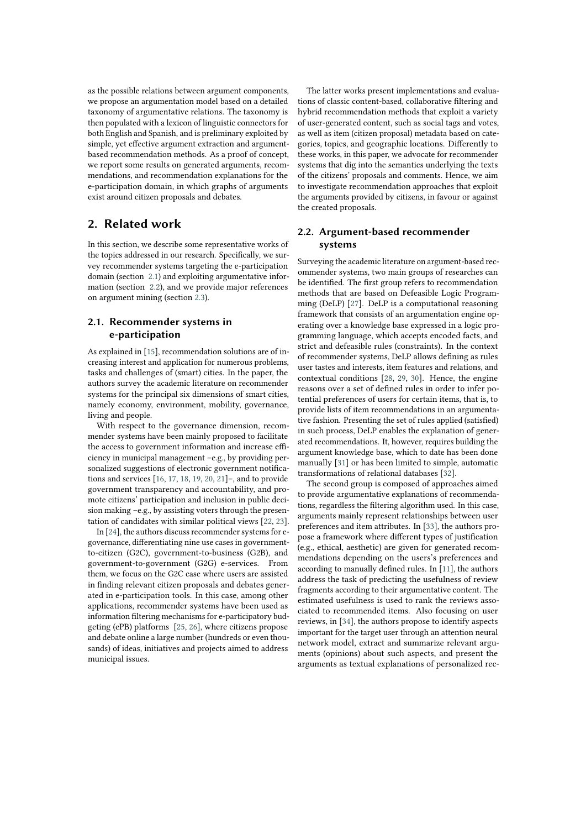as the possible relations between argument components, we propose an argumentation model based on a detailed taxonomy of argumentative relations. The taxonomy is then populated with a lexicon of linguistic connectors for both English and Spanish, and is preliminary exploited by simple, yet effective argument extraction and argumentbased recommendation methods. As a proof of concept, we report some results on generated arguments, recommendations, and recommendation explanations for the e-participation domain, in which graphs of arguments exist around citizen proposals and debates.

# **2. Related work**

In this section, we describe some representative works of the topics addressed in our research. Specifically, we survey recommender systems targeting the e-participation domain (section [2.1\)](#page-1-0) and exploiting argumentative information (section [2.2\)](#page-1-1), and we provide major references on argument mining (section [2.3\)](#page-2-0).

### <span id="page-1-0"></span>**2.1. Recommender systems in e-participation**

As explained in [\[15\]](#page-8-0), recommendation solutions are of increasing interest and application for numerous problems, tasks and challenges of (smart) cities. In the paper, the authors survey the academic literature on recommender systems for the principal six dimensions of smart cities, namely economy, environment, mobility, governance, living and people.

With respect to the governance dimension, recommender systems have been mainly proposed to facilitate the access to government information and increase efficiency in municipal management –e.g., by providing personalized suggestions of electronic government notifications and services [\[16,](#page-9-0) [17,](#page-9-1) [18,](#page-9-2) [19,](#page-9-3) [20,](#page-9-4) [21\]](#page-9-5)–, and to provide government transparency and accountability, and promote citizens' participation and inclusion in public decision making –e.g., by assisting voters through the presentation of candidates with similar political views [\[22,](#page-9-6) [23\]](#page-9-7).

In [\[24\]](#page-9-8), the authors discuss recommender systems for egovernance, differentiating nine use cases in governmentto-citizen (G2C), government-to-business (G2B), and government-to-government (G2G) e-services. From them, we focus on the G2C case where users are assisted in finding relevant citizen proposals and debates generated in e-participation tools. In this case, among other applications, recommender systems have been used as information filtering mechanisms for e-participatory budgeting (ePB) platforms [\[25,](#page-9-9) [26\]](#page-9-10), where citizens propose and debate online a large number (hundreds or even thousands) of ideas, initiatives and projects aimed to address municipal issues.

The latter works present implementations and evaluations of classic content-based, collaborative filtering and hybrid recommendation methods that exploit a variety of user-generated content, such as social tags and votes, as well as item (citizen proposal) metadata based on categories, topics, and geographic locations. Differently to these works, in this paper, we advocate for recommender systems that dig into the semantics underlying the texts of the citizens' proposals and comments. Hence, we aim to investigate recommendation approaches that exploit the arguments provided by citizens, in favour or against the created proposals.

## <span id="page-1-1"></span>**2.2. Argument-based recommender systems**

Surveying the academic literature on argument-based recommender systems, two main groups of researches can be identified. The first group refers to recommendation methods that are based on Defeasible Logic Programming (DeLP) [\[27\]](#page-9-11). DeLP is a computational reasoning framework that consists of an argumentation engine operating over a knowledge base expressed in a logic programming language, which accepts encoded facts, and strict and defeasible rules (constraints). In the context of recommender systems, DeLP allows defining as rules user tastes and interests, item features and relations, and contextual conditions [\[28,](#page-9-12) [29,](#page-9-13) [30\]](#page-9-14). Hence, the engine reasons over a set of defined rules in order to infer potential preferences of users for certain items, that is, to provide lists of item recommendations in an argumentative fashion. Presenting the set of rules applied (satisfied) in such process, DeLP enables the explanation of generated recommendations. It, however, requires building the argument knowledge base, which to date has been done manually [\[31\]](#page-9-15) or has been limited to simple, automatic transformations of relational databases [\[32\]](#page-9-16).

The second group is composed of approaches aimed to provide argumentative explanations of recommendations, regardless the filtering algorithm used. In this case, arguments mainly represent relationships between user preferences and item attributes. In [\[33\]](#page-9-17), the authors propose a framework where different types of justification (e.g., ethical, aesthetic) are given for generated recommendations depending on the users's preferences and according to manually defined rules. In [\[11\]](#page-8-1), the authors address the task of predicting the usefulness of review fragments according to their argumentative content. The estimated usefulness is used to rank the reviews associated to recommended items. Also focusing on user reviews, in [\[34\]](#page-9-18), the authors propose to identify aspects important for the target user through an attention neural network model, extract and summarize relevant arguments (opinions) about such aspects, and present the arguments as textual explanations of personalized rec-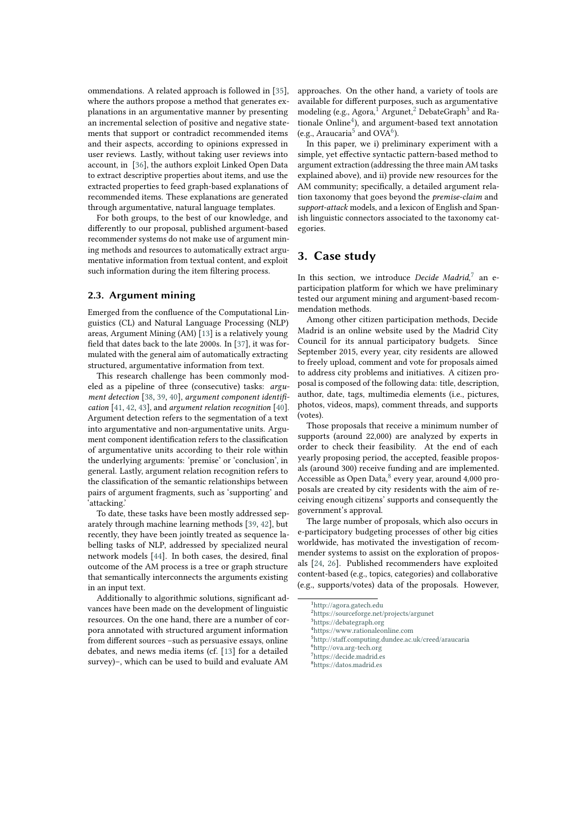ommendations. A related approach is followed in [\[35\]](#page-9-19), where the authors propose a method that generates explanations in an argumentative manner by presenting an incremental selection of positive and negative statements that support or contradict recommended items and their aspects, according to opinions expressed in user reviews. Lastly, without taking user reviews into account, in [\[36\]](#page-9-20), the authors exploit Linked Open Data to extract descriptive properties about items, and use the extracted properties to feed graph-based explanations of recommended items. These explanations are generated through argumentative, natural language templates.

For both groups, to the best of our knowledge, and differently to our proposal, published argument-based recommender systems do not make use of argument mining methods and resources to automatically extract argumentative information from textual content, and exploit such information during the item filtering process.

### <span id="page-2-0"></span>**2.3. Argument mining**

Emerged from the confluence of the Computational Linguistics (CL) and Natural Language Processing (NLP) areas, Argument Mining (AM) [\[13\]](#page-8-2) is a relatively young field that dates back to the late 2000s. In [\[37\]](#page-9-21), it was formulated with the general aim of automatically extracting structured, argumentative information from text.

This research challenge has been commonly modeled as a pipeline of three (consecutive) tasks: *argument detection* [\[38,](#page-9-22) [39,](#page-10-0) [40\]](#page-10-1), *argument component identification* [\[41,](#page-10-2) [42,](#page-10-3) [43\]](#page-10-4), and *argument relation recognition* [\[40\]](#page-10-1). Argument detection refers to the segmentation of a text into argumentative and non-argumentative units. Argument component identification refers to the classification of argumentative units according to their role within the underlying arguments: 'premise' or 'conclusion', in general. Lastly, argument relation recognition refers to the classification of the semantic relationships between pairs of argument fragments, such as 'supporting' and 'attacking.'

To date, these tasks have been mostly addressed separately through machine learning methods [\[39,](#page-10-0) [42\]](#page-10-3), but recently, they have been jointly treated as sequence labelling tasks of NLP, addressed by specialized neural network models [\[44\]](#page-10-5). In both cases, the desired, final outcome of the AM process is a tree or graph structure that semantically interconnects the arguments existing in an input text.

Additionally to algorithmic solutions, significant advances have been made on the development of linguistic resources. On the one hand, there are a number of corpora annotated with structured argument information from different sources –such as persuasive essays, online debates, and news media items (cf. [\[13\]](#page-8-2) for a detailed survey)–, which can be used to build and evaluate AM approaches. On the other hand, a variety of tools are available for different purposes, such as argumentative modeling (e.g., Agora,<sup>[1](#page-2-1)</sup> Argunet,<sup>[2](#page-2-2)</sup> DebateGraph<sup>[3](#page-2-3)</sup> and Ra-tionale Online<sup>[4](#page-2-4)</sup>), and argument-based text annotation (e.g., Araucaria<sup>[5](#page-2-5)</sup> and OVA<sup>[6](#page-2-6)</sup>).

In this paper, we i) preliminary experiment with a simple, yet effective syntactic pattern-based method to argument extraction (addressing the three main AM tasks explained above), and ii) provide new resources for the AM community; specifically, a detailed argument relation taxonomy that goes beyond the *premise-claim* and *support-attack* models, and a lexicon of English and Spanish linguistic connectors associated to the taxonomy categories.

# **3. Case study**

In this section, we introduce *Decide Madrid*, [7](#page-2-7) an eparticipation platform for which we have preliminary tested our argument mining and argument-based recommendation methods.

Among other citizen participation methods, Decide Madrid is an online website used by the Madrid City Council for its annual participatory budgets. Since September 2015, every year, city residents are allowed to freely upload, comment and vote for proposals aimed to address city problems and initiatives. A citizen proposal is composed of the following data: title, description, author, date, tags, multimedia elements (i.e., pictures, photos, videos, maps), comment threads, and supports (votes).

Those proposals that receive a minimum number of supports (around 22,000) are analyzed by experts in order to check their feasibility. At the end of each yearly proposing period, the accepted, feasible proposals (around 300) receive funding and are implemented. Accessible as Open Data, <sup>[8](#page-2-8)</sup> every year, around 4,000 proposals are created by city residents with the aim of receiving enough citizens' supports and consequently the government's approval.

The large number of proposals, which also occurs in e-participatory budgeting processes of other big cities worldwide, has motivated the investigation of recommender systems to assist on the exploration of proposals [\[24,](#page-9-8) [26\]](#page-9-10). Published recommenders have exploited content-based (e.g., topics, categories) and collaborative (e.g., supports/votes) data of the proposals. However,

<span id="page-2-1"></span><sup>1</sup><http://agora.gatech.edu>

<span id="page-2-2"></span><sup>2</sup><https://sourceforge.net/projects/argunet>

<span id="page-2-3"></span><sup>3</sup><https://debategraph.org>

<span id="page-2-4"></span><sup>4</sup><https://www.rationaleonline.com>

<span id="page-2-5"></span><sup>5</sup><http://staff.computing.dundee.ac.uk/creed/araucaria>

<span id="page-2-7"></span><span id="page-2-6"></span><sup>6</sup><http://ova.arg-tech.org>  $7$ <https://decide.madrid.es>

<span id="page-2-8"></span>

<sup>8</sup><https://datos.madrid.es>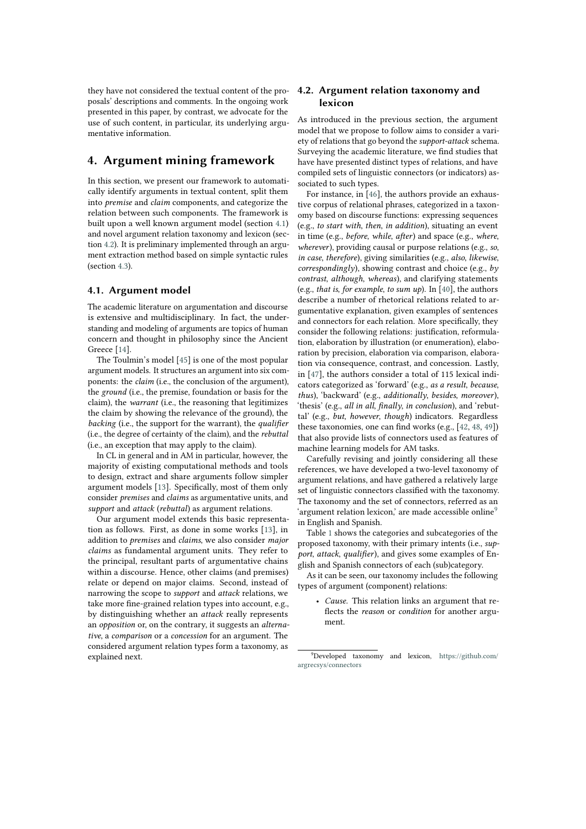they have not considered the textual content of the proposals' descriptions and comments. In the ongoing work presented in this paper, by contrast, we advocate for the use of such content, in particular, its underlying argumentative information.

# **4. Argument mining framework**

In this section, we present our framework to automatically identify arguments in textual content, split them into *premise* and *claim* components, and categorize the relation between such components. The framework is built upon a well known argument model (section [4.1\)](#page-3-0) and novel argument relation taxonomy and lexicon (section [4.2\)](#page-3-1). It is preliminary implemented through an argument extraction method based on simple syntactic rules (section [4.3\)](#page-4-0).

#### <span id="page-3-0"></span>**4.1. Argument model**

The academic literature on argumentation and discourse is extensive and multidisciplinary. In fact, the understanding and modeling of arguments are topics of human concern and thought in philosophy since the Ancient Greece [\[14\]](#page-8-3).

The Toulmin's model [\[45\]](#page-10-6) is one of the most popular argument models. It structures an argument into six components: the *claim* (i.e., the conclusion of the argument), the *ground* (i.e., the premise, foundation or basis for the claim), the *warrant* (i.e., the reasoning that legitimizes the claim by showing the relevance of the ground), the *backing* (i.e., the support for the warrant), the *qualifier* (i.e., the degree of certainty of the claim), and the *rebuttal* (i.e., an exception that may apply to the claim).

In CL in general and in AM in particular, however, the majority of existing computational methods and tools to design, extract and share arguments follow simpler argument models [\[13\]](#page-8-2). Specifically, most of them only consider *premises* and *claims* as argumentative units, and *support* and *attack* (*rebuttal*) as argument relations.

Our argument model extends this basic representation as follows. First, as done in some works [\[13\]](#page-8-2), in addition to *premises* and *claims*, we also consider *major claims* as fundamental argument units. They refer to the principal, resultant parts of argumentative chains within a discourse. Hence, other claims (and premises) relate or depend on major claims. Second, instead of narrowing the scope to *support* and *attack* relations, we take more fine-grained relation types into account, e.g., by distinguishing whether an *attack* really represents an *opposition* or, on the contrary, it suggests an *alternative*, a *comparison* or a *concession* for an argument. The considered argument relation types form a taxonomy, as explained next.

### <span id="page-3-1"></span>**4.2. Argument relation taxonomy and lexicon**

As introduced in the previous section, the argument model that we propose to follow aims to consider a variety of relations that go beyond the *support-attack* schema. Surveying the academic literature, we find studies that have have presented distinct types of relations, and have compiled sets of linguistic connectors (or indicators) associated to such types.

For instance, in [\[46\]](#page-10-7), the authors provide an exhaustive corpus of relational phrases, categorized in a taxonomy based on discourse functions: expressing sequences (e.g., *to start with*, *then*, *in addition*), situating an event in time (e.g., *before*, *while*, *after*) and space (e.g., *where*, *wherever*), providing causal or purpose relations (e.g., *so*, *in case*, *therefore*), giving similarities (e.g., *also*, *likewise*, *correspondingly*), showing contrast and choice (e.g., *by contrast*, *although*, *whereas*), and clarifying statements (e.g., *that is*, *for example*, *to sum up*). In [\[40\]](#page-10-1), the authors describe a number of rhetorical relations related to argumentative explanation, given examples of sentences and connectors for each relation. More specifically, they consider the following relations: justification, reformulation, elaboration by illustration (or enumeration), elaboration by precision, elaboration via comparison, elaboration via consequence, contrast, and concession. Lastly, in [\[47\]](#page-10-8), the authors consider a total of 115 lexical indicators categorized as 'forward' (e.g., *as a result*, *because*, *thus*), 'backward' (e.g., *additionally*, *besides*, *moreover*), 'thesis' (e.g., *all in all*, *finally*, *in conclusion*), and 'rebuttal' (e.g., *but*, *however*, *though*) indicators. Regardless these taxonomies, one can find works (e.g., [\[42,](#page-10-3) [48,](#page-10-9) [49\]](#page-10-10)) that also provide lists of connectors used as features of machine learning models for AM tasks.

Carefully revising and jointly considering all these references, we have developed a two-level taxonomy of argument relations, and have gathered a relatively large set of linguistic connectors classified with the taxonomy. The taxonomy and the set of connectors, referred as an 'argument relation lexicon,' are made accessible online<sup>[9](#page-3-2)</sup> in English and Spanish.

Table [1](#page-5-0) shows the categories and subcategories of the proposed taxonomy, with their primary intents (i.e., *support*, *attack*, *qualifier*), and gives some examples of English and Spanish connectors of each (sub)category.

As it can be seen, our taxonomy includes the following types of argument (component) relations:

• *Cause*. This relation links an argument that reflects the *reason* or *condition* for another argument.

<span id="page-3-2"></span><sup>9</sup>Developed taxonomy and lexicon, [https://github.com/](https://github.com/argrecsys/connectors) [argrecsys/connectors](https://github.com/argrecsys/connectors)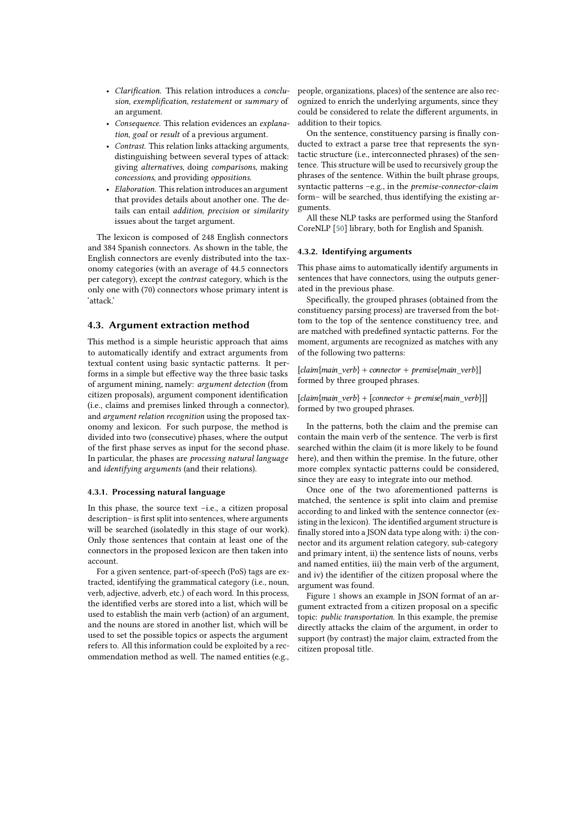- *Clarification*. This relation introduces a *conclusion*, *exemplification*, *restatement* or *summary* of an argument.
- *Consequence*. This relation evidences an *explanation*, *goal* or *result* of a previous argument.
- *Contrast*. This relation links attacking arguments, distinguishing between several types of attack: giving *alternatives*, doing *comparisons*, making *concessions*, and providing *oppositions*.
- *Elaboration*. This relation introduces an argument that provides details about another one. The details can entail *addition*, *precision* or *similarity* issues about the target argument.

The lexicon is composed of 248 English connectors and 384 Spanish connectors. As shown in the table, the English connectors are evenly distributed into the taxonomy categories (with an average of 44.5 connectors per category), except the *contrast* category, which is the only one with (70) connectors whose primary intent is 'attack.'

#### <span id="page-4-0"></span>**4.3. Argument extraction method**

This method is a simple heuristic approach that aims to automatically identify and extract arguments from textual content using basic syntactic patterns. It performs in a simple but effective way the three basic tasks of argument mining, namely: *argument detection* (from citizen proposals), argument component identification (i.e., claims and premises linked through a connector), and *argument relation recognition* using the proposed taxonomy and lexicon. For such purpose, the method is divided into two (consecutive) phases, where the output of the first phase serves as input for the second phase. In particular, the phases are *processing natural language* and *identifying arguments* (and their relations).

#### **4.3.1. Processing natural language**

In this phase, the source text –i.e., a citizen proposal description– is first split into sentences, where arguments will be searched (isolatedly in this stage of our work). Only those sentences that contain at least one of the connectors in the proposed lexicon are then taken into account.

For a given sentence, part-of-speech (PoS) tags are extracted, identifying the grammatical category (i.e., noun, verb, adjective, adverb, etc.) of each word. In this process, the identified verbs are stored into a list, which will be used to establish the main verb (action) of an argument, and the nouns are stored in another list, which will be used to set the possible topics or aspects the argument refers to. All this information could be exploited by a recommendation method as well. The named entities (e.g.,

people, organizations, places) of the sentence are also recognized to enrich the underlying arguments, since they could be considered to relate the different arguments, in addition to their topics.

On the sentence, constituency parsing is finally conducted to extract a parse tree that represents the syntactic structure (i.e., interconnected phrases) of the sentence. This structure will be used to recursively group the phrases of the sentence. Within the built phrase groups, syntactic patterns –e.g., in the *premise-connector-claim* form– will be searched, thus identifying the existing arguments.

All these NLP tasks are performed using the Stanford CoreNLP [\[50\]](#page-10-11) library, both for English and Spanish.

#### **4.3.2. Identifying arguments**

This phase aims to automatically identify arguments in sentences that have connectors, using the outputs generated in the previous phase.

Specifically, the grouped phrases (obtained from the constituency parsing process) are traversed from the bottom to the top of the sentence constituency tree, and are matched with predefined syntactic patterns. For the moment, arguments are recognized as matches with any of the following two patterns:

 $[claim{ main\_verb} + connector + premise{main\_verb}]$ formed by three grouped phrases.

 $[claim{main verb} + [connector + premise{main\_verb}]]$ formed by two grouped phrases.

In the patterns, both the claim and the premise can contain the main verb of the sentence. The verb is first searched within the claim (it is more likely to be found here), and then within the premise. In the future, other more complex syntactic patterns could be considered, since they are easy to integrate into our method.

Once one of the two aforementioned patterns is matched, the sentence is split into claim and premise according to and linked with the sentence connector (existing in the lexicon). The identified argument structure is finally stored into a JSON data type along with: i) the connector and its argument relation category, sub-category and primary intent, ii) the sentence lists of nouns, verbs and named entities, iii) the main verb of the argument, and iv) the identifier of the citizen proposal where the argument was found.

Figure [1](#page-6-0) shows an example in JSON format of an argument extracted from a citizen proposal on a specific topic: *public transportation*. In this example, the premise directly attacks the claim of the argument, in order to support (by contrast) the major claim, extracted from the citizen proposal title.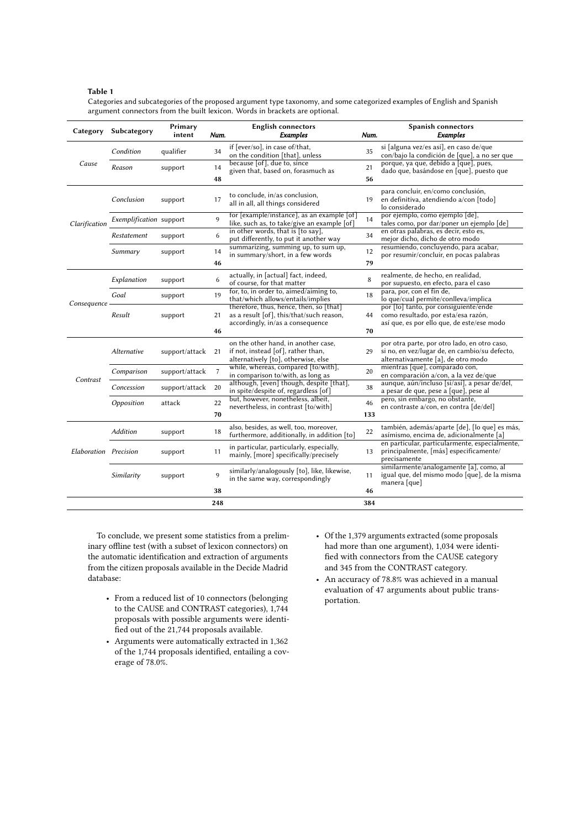#### <span id="page-5-0"></span>**Table 1**

Categories and subcategories of the proposed argument type taxonomy, and some categorized examples of English and Spanish argument connectors from the built lexicon. Words in brackets are optional.

| Category              | Subcategory             | Primary<br>intent | Num. | <b>English connectors</b><br><b>Examples</b>                                                                                        | Num.                                                                         | <b>Spanish connectors</b><br><b>Examples</b>                                                                                        |
|-----------------------|-------------------------|-------------------|------|-------------------------------------------------------------------------------------------------------------------------------------|------------------------------------------------------------------------------|-------------------------------------------------------------------------------------------------------------------------------------|
| Cause                 | Condition               | qualifier         | 34   | if [ever/so], in case of/that,<br>on the condition [that], unless                                                                   | 35                                                                           | si [alguna vez/es así], en caso de/que<br>con/bajo la condición de [que], a no ser que                                              |
|                       | Reason                  | support           | 14   | because [of], due to, since<br>given that, based on, forasmuch as                                                                   | 21                                                                           | porque, ya que, debido a [que], pues,<br>dado que, basándose en [que], puesto que                                                   |
|                       |                         |                   | 48   |                                                                                                                                     | 56                                                                           |                                                                                                                                     |
| Clarification         | Conclusion              | support           | 17   | to conclude, in/as conclusion,<br>all in all, all things considered                                                                 | 19                                                                           | para concluir, en/como conclusión,<br>en definitiva, atendiendo a/con [todo]<br>lo considerado                                      |
|                       | Exemplification support |                   | 9    | for [example/instance], as an example [of]<br>like, such as, to take/give an example [of]                                           | 14                                                                           | por ejemplo, como ejemplo [de],<br>tales como, por dar/poner un ejemplo [de]                                                        |
|                       | Restatement             | support           | 6    | in other words, that is [to say],<br>put differently, to put it another way                                                         | 34                                                                           | en otras palabras, es decir, esto es,<br>mejor dicho, dicho de otro modo                                                            |
|                       | Summary                 | support           | 14   | summarizing, summing up, to sum up,<br>in summary/short, in a few words                                                             | 12                                                                           | resumiendo, concluyendo, para acabar,<br>por resumir/concluir, en pocas palabras                                                    |
|                       |                         |                   | 46   |                                                                                                                                     | 79                                                                           |                                                                                                                                     |
| Consequence           | Explanation             | support           | 6    | actually, in [actual] fact, indeed,<br>of course, for that matter                                                                   | 8                                                                            | realmente, de hecho, en realidad,<br>por supuesto, en efecto, para el caso                                                          |
|                       | Goal                    | support           | 19   | for, to, in order to, aimed/aiming to,<br>that/which allows/entails/implies                                                         | 18                                                                           | para, por, con el fin de,<br>lo que/cual permite/conlleva/implica                                                                   |
|                       | Result                  | support           | 21   | therefore, thus, hence, then, so [that]<br>as a result [of], this/that/such reason,<br>44<br>accordingly, in/as a consequence<br>70 | por [lo] tanto, por consiguiente/ende<br>como resultado, por esta/esa razón, |                                                                                                                                     |
|                       |                         |                   | 46   |                                                                                                                                     | así que, es por ello que, de este/ese modo                                   |                                                                                                                                     |
| Contrast              | Alternative             | support/attack    | 21   | on the other hand, in another case,<br>if not, instead [of], rather than,<br>alternatively [to], otherwise, else                    | 29                                                                           | por otra parte, por otro lado, en otro caso,<br>si no, en vez/lugar de, en cambio/su defecto,<br>alternativamente [a], de otro modo |
|                       | Comparison              | support/attack    | 7    | while, whereas, compared [to/with],<br>in comparison to/with, as long as                                                            | 20                                                                           | mientras [que], comparado con,<br>en comparación a/con, a la vez de/que                                                             |
|                       | Concession              | support/attack    | 20   | although, [even] though, despite [that],<br>in spite/despite of, regardless [of]                                                    | 38                                                                           | aunque, aún/incluso [si/así], a pesar de/del,<br>a pesar de que, pese a [que], pese al                                              |
|                       | Opposition              | attack            | 22   | but, however, nonetheless, albeit,<br>nevertheless, in contrast [to/with]                                                           | 46                                                                           | pero, sin embargo, no obstante,<br>en contraste a/con, en contra [de/del]                                                           |
|                       |                         |                   | 70   |                                                                                                                                     | 133                                                                          |                                                                                                                                     |
| Elaboration Precision | <b>Addition</b>         | support           | 18   | also, besides, as well, too, moreover,<br>furthermore, additionally, in addition [to]                                               | 22                                                                           | también, además/aparte [de], [lo que] es más,<br>asímismo, encima de, adicionalmente [a]                                            |
|                       |                         | support           | 11   | in particular, particularly, especially,<br>mainly, [more] specifically/precisely                                                   | 13                                                                           | en particular, particularmente, especialmente,<br>principalmente, [más] especificamente/<br>precisamente                            |
|                       | Similarity              | support           | 9    | similarly/analogously [to], like, likewise,<br>in the same way, correspondingly                                                     | 11                                                                           | similarmente/analogamente [a], como, al<br>igual que, del mismo modo [que], de la misma<br>manera [que]                             |
|                       |                         |                   | 38   |                                                                                                                                     | 46                                                                           |                                                                                                                                     |
|                       |                         |                   | 248  |                                                                                                                                     | 384                                                                          |                                                                                                                                     |

To conclude, we present some statistics from a preliminary offline test (with a subset of lexicon connectors) on the automatic identification and extraction of arguments from the citizen proposals available in the Decide Madrid database:

- From a reduced list of 10 connectors (belonging to the CAUSE and CONTRAST categories), 1,744 proposals with possible arguments were identified out of the 21,744 proposals available.
- Arguments were automatically extracted in 1,362 of the 1,744 proposals identified, entailing a coverage of 78.0%.
- Of the 1,379 arguments extracted (some proposals had more than one argument), 1,034 were identified with connectors from the CAUSE category and 345 from the CONTRAST category.
- An accuracy of 78.8% was achieved in a manual evaluation of 47 arguments about public transportation.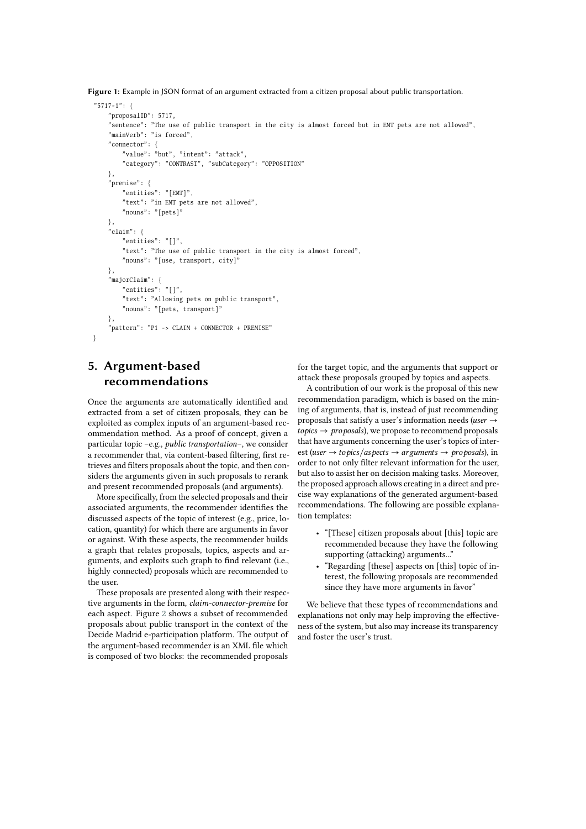<span id="page-6-0"></span>**Figure 1:** Example in JSON format of an argument extracted from a citizen proposal about public transportation.

```
" 5717 - 1" \cdot {
    "proposalID": 5717,
    " sentence": "The use of public transport in the city is almost forced but in EMT pets are not allowed",
    "mainVerb": "is forced",
    " connector": {
        " value": "but", "intent": "attack",
        " category": "CONTRAST", "subCategory": "OPPOSITION"
    } ,
    "premise": {
        " entities": "[EMT]",
        " text": "in EMT pets are not allowed".
        " nouns": "[jets]"} ,
    "claim": {
        " entities": "\lceil]",
        " text": "The use of public transport in the city is almost forced",
         " nouns": "[use, transport, city]"
    } ,
    "majorClaim": {
         " entities": "[]",
         " text": "Allowing pets on public transport".
         " nouns": " [pets, transport]"
    } ,
    " pattern": "P1 -> CLAIM + CONNECTOR + PREMISE"
}
```
# **5. Argument-based recommendations**

Once the arguments are automatically identified and extracted from a set of citizen proposals, they can be exploited as complex inputs of an argument-based recommendation method. As a proof of concept, given a particular topic –e.g., *public transportation*–, we consider a recommender that, via content-based filtering, first retrieves and filters proposals about the topic, and then considers the arguments given in such proposals to rerank and present recommended proposals (and arguments).

More specifically, from the selected proposals and their associated arguments, the recommender identifies the discussed aspects of the topic of interest (e.g., price, location, quantity) for which there are arguments in favor or against. With these aspects, the recommender builds a graph that relates proposals, topics, aspects and arguments, and exploits such graph to find relevant (i.e., highly connected) proposals which are recommended to the user.

These proposals are presented along with their respective arguments in the form, *claim-connector-premise* for each aspect. Figure [2](#page-7-0) shows a subset of recommended proposals about public transport in the context of the Decide Madrid e-participation platform. The output of the argument-based recommender is an XML file which is composed of two blocks: the recommended proposals

for the target topic, and the arguments that support or attack these proposals grouped by topics and aspects.

A contribution of our work is the proposal of this new recommendation paradigm, which is based on the mining of arguments, that is, instead of just recommending proposals that satisfy a user's information needs (*user*  $\rightarrow$  $to \text{pics} \rightarrow \text{pro } \text{pos} \text{als}$ , we propose to recommend proposals that have arguments concerning the user's topics of interest (*user*  $\rightarrow$  *topics*/*aspects*  $\rightarrow$  *arguments*  $\rightarrow$  *proposals*), in order to not only filter relevant information for the user, but also to assist her on decision making tasks. Moreover, the proposed approach allows creating in a direct and precise way explanations of the generated argument-based recommendations. The following are possible explanation templates:

- "[These] citizen proposals about [this] topic are recommended because they have the following supporting (attacking) arguments..."
- "Regarding [these] aspects on [this] topic of interest, the following proposals are recommended since they have more arguments in favor"

We believe that these types of recommendations and explanations not only may help improving the effectiveness of the system, but also may increase its transparency and foster the user's trust.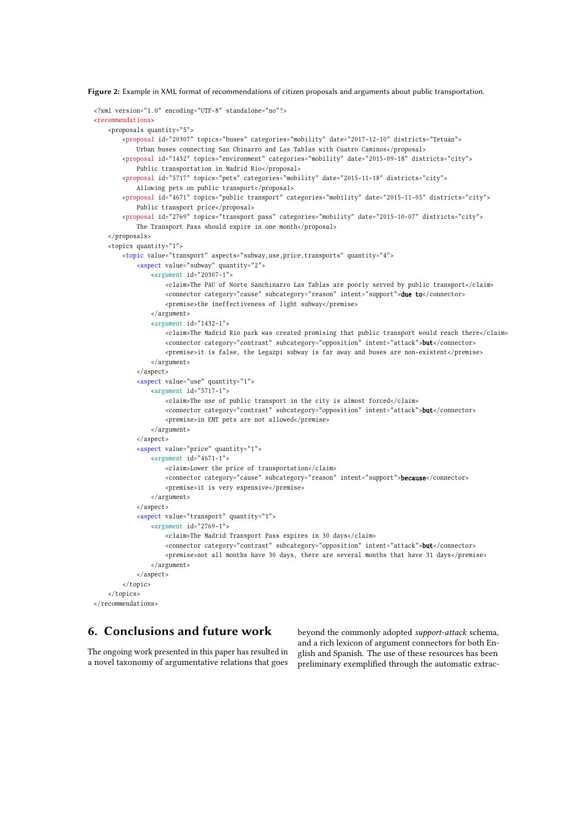<span id="page-7-0"></span>**Figure 2:** Example in XML format of recommendations of citizen proposals and arguments about public transportation.

```
<?xml version="1.0" encoding="UTF-8" standalone="no"?>
crecommendations<proposals quantity="5">
        <proposal id="20307" topics="buses" categories="mobility" date="2017-12-10" districts="Tetuán">
             Urban buses connecting San Chinarro and Las Tablas with Cuatro Caminos</proposal>
        <proposal id="1432" topics="environment" categories="mobility" date="2015-09-18" districts="city">
             Public transportation in Madrid Río</proposal>
        <proposal id="5717" topics="pets" categories="mobility" date="2015-11-18" districts="city">
             Allowing pets on public transport</proposal>
         <proposal id="4671" topics="public transport" categories="mobility" date="2015-11-05" districts="city">
             Public transport price</proposal>
        <proposal id="2769" topics="transport pass" categories="mobility" date="2015-10-07" districts="city">
             The Transport Pass should expire in one month</proposal>
    \epsilon/nronosals>
    <topics quantity="1">
        <topic value="transport" aspects="subway, use, price, transports" quantity="4">
             \langle <aspect value="subway" quantity="2">
                 \langle \text{argument} \text{ id} = "20307-1" \rangle<claim>The PAU of Norte Sanchinarro Las Tablas are poorly served by public transport</claim>
                      <connector category="cause" subcategory="reason" intent="support">due to</connector>
                      <premise>the ineffectiveness of light subway</premise>
                 \langle argument>
                 \langle argument id="1432-1">
                      <claim>The Madrid Rio park was created promising that public transport would reach there</claim>
                      <connector category="contrast" subcategory="opposition" intent="attack">but</connector>
                      \epsilon premise>it is false, the Legazpi subway is far away and buses are non-existent\epsilon/premise>
                 \langle argument >
             \epsilon/asnect>
             <aspect value="use" quantity="1">
                 \langle argument id="5717-1">
                      <claim>The use of public transport in the city is almost forced</claim>
                      < c o n n e c t o r c a t e g o r y = " c o n t r a s t " s u b c a t e g o r y = " o p p o s i t i o n " i n t e n t = " a t t a c k " >b u t < / c o n n e c t o r >
                      <premise>in EMT pets are not allowed</premise>
                 \langle argument>
             \langle/aspect>
             \frac{1}{2} <aspect value="price" quantity="1">
                 \langle \text{argument} \text{ id} = "4671-1" \rangle<claim>Lower the price of transportation</claim>
                      <connector category="cause" subcategory="reason" intent="support">because</connector>
                      <premise>it is very expensive</premise>
                 </argument>
             \langle/aspect>
             <aspect value="transport" quantity="1">
                 \langle argument id="2769-1">
                      <claim>The Madrid Transport Pass expires in 30 days</claim>
                      \alpha connector category="contrast" subcategory="opposition" intent="attack">but \alpha / connector>
                      <premise>not all months have 30 days, there are several months that have 31 days</premise>
                 \epsilon/argument>
             </aspect>
        \langle / topic>
    </topics>
\epsilon/recommendations>
```
# **6. Conclusions and future work**

The ongoing work presented in this paper has resulted in a novel taxonomy of argumentative relations that goes beyond the commonly adopted *support-attack* schema, and a rich lexicon of argument connectors for both English and Spanish. The use of these resources has been preliminary exemplified through the automatic extrac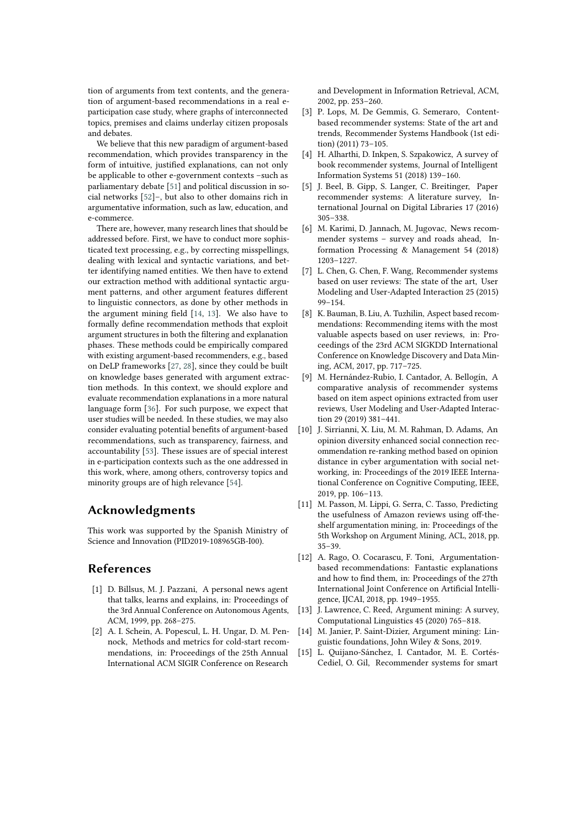tion of arguments from text contents, and the generation of argument-based recommendations in a real eparticipation case study, where graphs of interconnected topics, premises and claims underlay citizen proposals and debates.

We believe that this new paradigm of argument-based recommendation, which provides transparency in the form of intuitive, justified explanations, can not only be applicable to other e-government contexts –such as parliamentary debate [\[51\]](#page-10-12) and political discussion in social networks [\[52\]](#page-10-13)–, but also to other domains rich in argumentative information, such as law, education, and e-commerce.

There are, however, many research lines that should be addressed before. First, we have to conduct more sophisticated text processing, e.g., by correcting misspellings, dealing with lexical and syntactic variations, and better identifying named entities. We then have to extend our extraction method with additional syntactic argument patterns, and other argument features different to linguistic connectors, as done by other methods in the argument mining field [\[14,](#page-8-3) [13\]](#page-8-2). We also have to formally define recommendation methods that exploit argument structures in both the filtering and explanation phases. These methods could be empirically compared with existing argument-based recommenders, e.g., based on DeLP frameworks [\[27,](#page-9-11) [28\]](#page-9-12), since they could be built on knowledge bases generated with argument extraction methods. In this context, we should explore and evaluate recommendation explanations in a more natural language form [\[36\]](#page-9-20). For such purpose, we expect that user studies will be needed. In these studies, we may also consider evaluating potential benefits of argument-based recommendations, such as transparency, fairness, and accountability [\[53\]](#page-10-14). These issues are of special interest in e-participation contexts such as the one addressed in this work, where, among others, controversy topics and minority groups are of high relevance [\[54\]](#page-10-15).

# **Acknowledgments**

This work was supported by the Spanish Ministry of Science and Innovation (PID2019-108965GB-I00).

## **References**

- [1] D. Billsus, M. J. Pazzani, A personal news agent that talks, learns and explains, in: Proceedings of the 3rd Annual Conference on Autonomous Agents, ACM, 1999, pp. 268–275.
- [2] A. I. Schein, A. Popescul, L. H. Ungar, D. M. Pennock, Methods and metrics for cold-start recommendations, in: Proceedings of the 25th Annual International ACM SIGIR Conference on Research

and Development in Information Retrieval, ACM, 2002, pp. 253–260.

- [3] P. Lops, M. De Gemmis, G. Semeraro, Contentbased recommender systems: State of the art and trends, Recommender Systems Handbook (1st edition) (2011) 73–105.
- [4] H. Alharthi, D. Inkpen, S. Szpakowicz, A survey of book recommender systems, Journal of Intelligent Information Systems 51 (2018) 139–160.
- [5] J. Beel, B. Gipp, S. Langer, C. Breitinger, Paper recommender systems: A literature survey, International Journal on Digital Libraries 17 (2016) 305–338.
- [6] M. Karimi, D. Jannach, M. Jugovac, News recommender systems – survey and roads ahead, Information Processing & Management 54 (2018) 1203–1227.
- [7] L. Chen, G. Chen, F. Wang, Recommender systems based on user reviews: The state of the art, User Modeling and User-Adapted Interaction 25 (2015) 99–154.
- [8] K. Bauman, B. Liu, A. Tuzhilin, Aspect based recommendations: Recommending items with the most valuable aspects based on user reviews, in: Proceedings of the 23rd ACM SIGKDD International Conference on Knowledge Discovery and Data Mining, ACM, 2017, pp. 717–725.
- [9] M. Hernández-Rubio, I. Cantador, A. Bellogín, A comparative analysis of recommender systems based on item aspect opinions extracted from user reviews, User Modeling and User-Adapted Interaction 29 (2019) 381–441.
- [10] J. Sirrianni, X. Liu, M. M. Rahman, D. Adams, An opinion diversity enhanced social connection recommendation re-ranking method based on opinion distance in cyber argumentation with social networking, in: Proceedings of the 2019 IEEE International Conference on Cognitive Computing, IEEE, 2019, pp. 106–113.
- <span id="page-8-1"></span>[11] M. Passon, M. Lippi, G. Serra, C. Tasso, Predicting the usefulness of Amazon reviews using off-theshelf argumentation mining, in: Proceedings of the 5th Workshop on Argument Mining, ACL, 2018, pp. 35–39.
- [12] A. Rago, O. Cocarascu, F. Toni, Argumentationbased recommendations: Fantastic explanations and how to find them, in: Proceedings of the 27th International Joint Conference on Artificial Intelligence, IJCAI, 2018, pp. 1949–1955.
- <span id="page-8-2"></span>[13] J. Lawrence, C. Reed, Argument mining: A survey, Computational Linguistics 45 (2020) 765–818.
- <span id="page-8-3"></span>[14] M. Janier, P. Saint-Dizier, Argument mining: Linguistic foundations, John Wiley & Sons, 2019.
- <span id="page-8-0"></span>[15] L. Quijano-Sánchez, I. Cantador, M. E. Cortés-Cediel, O. Gil, Recommender systems for smart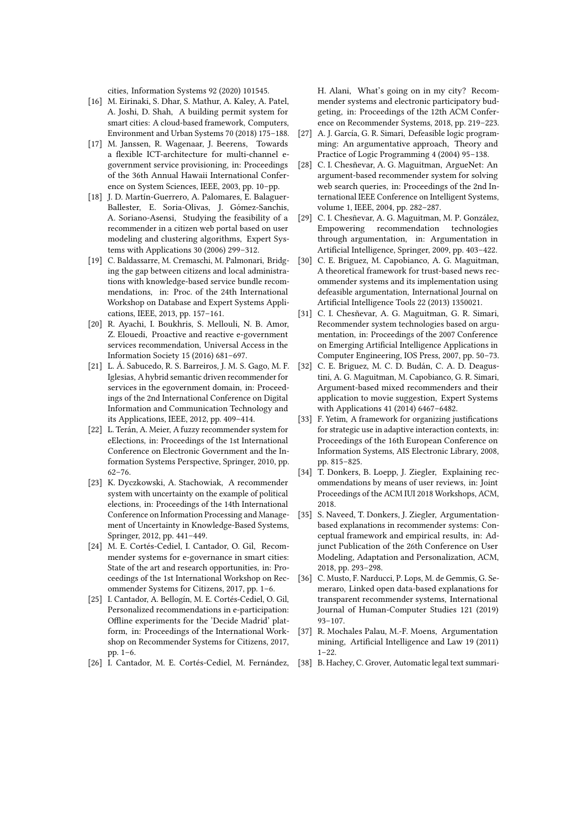cities, Information Systems 92 (2020) 101545.

- <span id="page-9-0"></span>[16] M. Eirinaki, S. Dhar, S. Mathur, A. Kaley, A. Patel, A. Joshi, D. Shah, A building permit system for smart cities: A cloud-based framework, Computers, Environment and Urban Systems 70 (2018) 175–188.
- <span id="page-9-1"></span>[17] M. Janssen, R. Wagenaar, J. Beerens, Towards a flexible ICT-architecture for multi-channel egovernment service provisioning, in: Proceedings of the 36th Annual Hawaii International Conference on System Sciences, IEEE, 2003, pp. 10–pp.
- <span id="page-9-2"></span>[18] J. D. Martín-Guerrero, A. Palomares, E. Balaguer-Ballester, E. Soria-Olivas, J. Gómez-Sanchis, A. Soriano-Asensi, Studying the feasibility of a recommender in a citizen web portal based on user modeling and clustering algorithms, Expert Systems with Applications 30 (2006) 299–312.
- <span id="page-9-3"></span>[19] C. Baldassarre, M. Cremaschi, M. Palmonari, Bridging the gap between citizens and local administrations with knowledge-based service bundle recommendations, in: Proc. of the 24th International Workshop on Database and Expert Systems Applications, IEEE, 2013, pp. 157–161.
- <span id="page-9-4"></span>[20] R. Ayachi, I. Boukhris, S. Mellouli, N. B. Amor, Z. Elouedi, Proactive and reactive e-government services recommendation, Universal Access in the Information Society 15 (2016) 681–697.
- <span id="page-9-5"></span>[21] L. Á. Sabucedo, R. S. Barreiros, J. M. S. Gago, M. F. Iglesias, A hybrid semantic driven recommender for services in the egovernment domain, in: Proceedings of the 2nd International Conference on Digital Information and Communication Technology and its Applications, IEEE, 2012, pp. 409–414.
- <span id="page-9-6"></span>[22] L. Terán, A. Meier, A fuzzy recommender system for eElections, in: Proceedings of the 1st International Conference on Electronic Government and the Information Systems Perspective, Springer, 2010, pp. 62–76.
- <span id="page-9-7"></span>[23] K. Dyczkowski, A. Stachowiak, A recommender system with uncertainty on the example of political elections, in: Proceedings of the 14th International Conference on Information Processing and Management of Uncertainty in Knowledge-Based Systems, Springer, 2012, pp. 441–449.
- <span id="page-9-8"></span>[24] M. E. Cortés-Cediel, I. Cantador, O. Gil, Recommender systems for e-governance in smart cities: State of the art and research opportunities, in: Proceedings of the 1st International Workshop on Recommender Systems for Citizens, 2017, pp. 1–6.
- <span id="page-9-9"></span>[25] I. Cantador, A. Bellogín, M. E. Cortés-Cediel, O. Gil, Personalized recommendations in e-participation: Offline experiments for the 'Decide Madrid' platform, in: Proceedings of the International Workshop on Recommender Systems for Citizens, 2017, pp. 1–6.
- <span id="page-9-10"></span>[26] I. Cantador, M. E. Cortés-Cediel, M. Fernández,

H. Alani, What's going on in my city? Recommender systems and electronic participatory budgeting, in: Proceedings of the 12th ACM Conference on Recommender Systems, 2018, pp. 219–223.

- <span id="page-9-11"></span>[27] A. J. García, G. R. Simari, Defeasible logic programming: An argumentative approach, Theory and Practice of Logic Programming 4 (2004) 95–138.
- <span id="page-9-12"></span>[28] C. I. Chesñevar, A. G. Maguitman, ArgueNet: An argument-based recommender system for solving web search queries, in: Proceedings of the 2nd International IEEE Conference on Intelligent Systems, volume 1, IEEE, 2004, pp. 282–287.
- <span id="page-9-13"></span>[29] C. I. Chesñevar, A. G. Maguitman, M. P. González, Empowering recommendation technologies through argumentation, in: Argumentation in Artificial Intelligence, Springer, 2009, pp. 403–422.
- <span id="page-9-14"></span>[30] C. E. Briguez, M. Capobianco, A. G. Maguitman, A theoretical framework for trust-based news recommender systems and its implementation using defeasible argumentation, International Journal on Artificial Intelligence Tools 22 (2013) 1350021.
- <span id="page-9-15"></span>[31] C. I. Chesñevar, A. G. Maguitman, G. R. Simari, Recommender system technologies based on argumentation, in: Proceedings of the 2007 Conference on Emerging Artificial Intelligence Applications in Computer Engineering, IOS Press, 2007, pp. 50–73.
- <span id="page-9-16"></span>[32] C. E. Briguez, M. C. D. Budán, C. A. D. Deagustini, A. G. Maguitman, M. Capobianco, G. R. Simari, Argument-based mixed recommenders and their application to movie suggestion, Expert Systems with Applications 41 (2014) 6467–6482.
- <span id="page-9-17"></span>[33] F. Yetim, A framework for organizing justifications for strategic use in adaptive interaction contexts, in: Proceedings of the 16th European Conference on Information Systems, AIS Electronic Library, 2008, pp. 815–825.
- <span id="page-9-18"></span>[34] T. Donkers, B. Loepp, J. Ziegler, Explaining recommendations by means of user reviews, in: Joint Proceedings of the ACM IUI 2018 Workshops, ACM, 2018.
- <span id="page-9-19"></span>[35] S. Naveed, T. Donkers, J. Ziegler, Argumentationbased explanations in recommender systems: Conceptual framework and empirical results, in: Adjunct Publication of the 26th Conference on User Modeling, Adaptation and Personalization, ACM, 2018, pp. 293–298.
- <span id="page-9-20"></span>[36] C. Musto, F. Narducci, P. Lops, M. de Gemmis, G. Semeraro, Linked open data-based explanations for transparent recommender systems, International Journal of Human-Computer Studies 121 (2019) 93–107.
- <span id="page-9-21"></span>[37] R. Mochales Palau, M.-F. Moens, Argumentation mining, Artificial Intelligence and Law 19 (2011)  $1 - 22$ .
- <span id="page-9-22"></span>[38] B. Hachey, C. Grover, Automatic legal text summari-